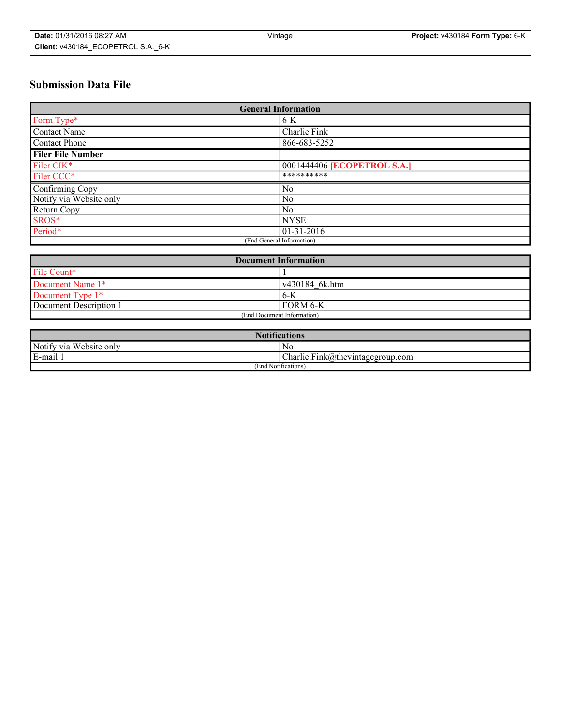# **Submission Data File**

| <b>General Information</b> |                                    |
|----------------------------|------------------------------------|
| Form Type*                 | $6 - K$                            |
| Contact Name               | Charlie Fink                       |
| Contact Phone              | 866-683-5252                       |
| <b>Filer File Number</b>   |                                    |
| Filer CIK*                 | 0001444406 <b>[ECOPETROL S.A.]</b> |
| Filer CCC*                 | **********                         |
| Confirming Copy            | N <sub>0</sub>                     |
| Notify via Website only    | No                                 |
| Return Copy                | No                                 |
| SROS*                      | <b>NYSE</b>                        |
| Period*                    | $01-31-2016$                       |
| (End General Information)  |                                    |

| <b>Document Information</b> |                        |
|-----------------------------|------------------------|
| File Count*                 |                        |
| Document Name 1*            | $\sqrt{430184}$ 6k.htm |
| Document Type $1*$          | 6-K                    |
| Document Description 1      | FORM 6-K               |
| (End Document Information)  |                        |

| <b>Notifications</b>    |                                       |  |
|-------------------------|---------------------------------------|--|
| Notify via Website only | N0                                    |  |
| E-mail                  | $[Charlie.Fink@]$ thevintagegroup.com |  |
| (End Notifications)     |                                       |  |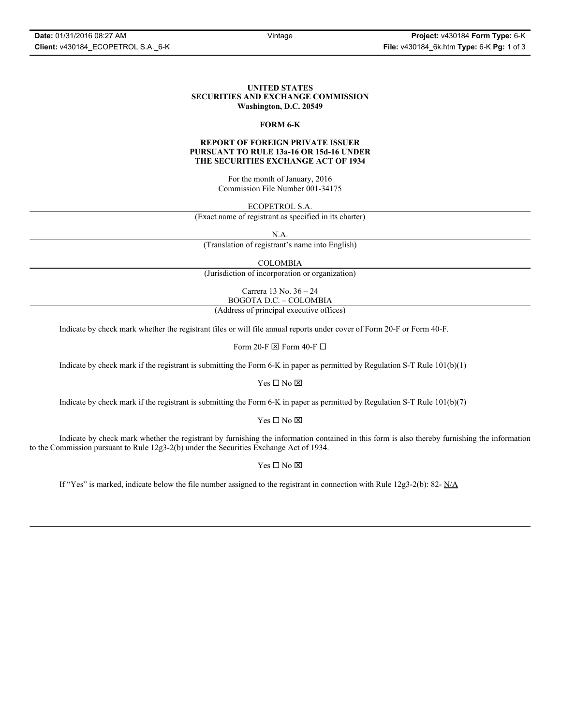### **UNITED STATES SECURITIES AND EXCHANGE COMMISSION Washington, D.C. 20549**

## **FORM 6-K**

# **REPORT OF FOREIGN PRIVATE ISSUER PURSUANT TO RULE 13a-16 OR 15d-16 UNDER THE SECURITIES EXCHANGE ACT OF 1934**

For the month of January, 2016 Commission File Number 001-34175

ECOPETROL S.A.

(Exact name of registrant as specified in its charter)

N.A.

(Translation of registrant's name into English)

COLOMBIA

(Jurisdiction of incorporation or organization)

Carrera 13 No. 36 – 24 BOGOTA D.C. – COLOMBIA

(Address of principal executive offices)

Indicate by check mark whether the registrant files or will file annual reports under cover of Form 20-F or Form 40-F.

Form 20-F  $\boxtimes$  Form 40-F  $\Box$ 

Indicate by check mark if the registrant is submitting the Form 6-K in paper as permitted by Regulation S-T Rule 101(b)(1)

 $Yes \Box No \boxtimes$ 

Indicate by check mark if the registrant is submitting the Form 6-K in paper as permitted by Regulation S-T Rule 101(b)(7)

 $Yes \Box No \boxtimes$ 

Indicate by check mark whether the registrant by furnishing the information contained in this form is also thereby furnishing the information to the Commission pursuant to Rule 12g3-2(b) under the Securities Exchange Act of 1934.

 $Yes \Box No \boxtimes$ 

If "Yes" is marked, indicate below the file number assigned to the registrant in connection with Rule  $12g3-2(b)$ : 82- N/A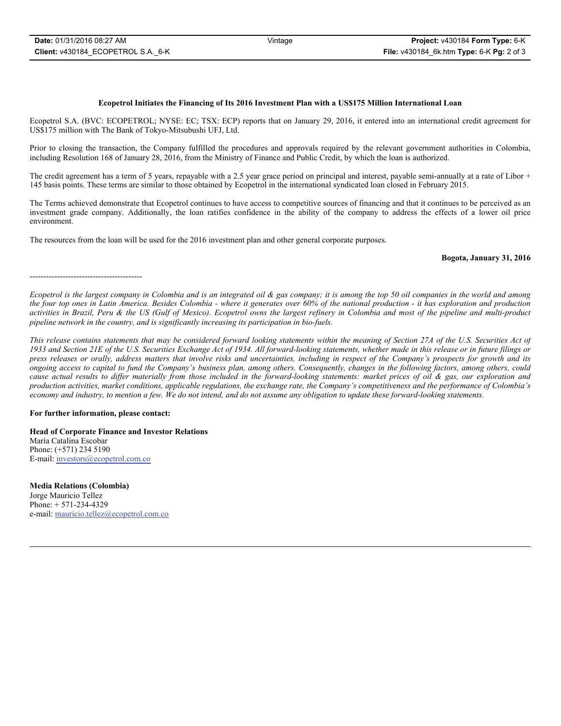#### **Ecopetrol Initiates the Financing of Its 2016 Investment Plan with a US\$175 Million International Loan**

Ecopetrol S.A. (BVC: ECOPETROL; NYSE: EC; TSX: ECP) reports that on January 29, 2016, it entered into an international credit agreement for US\$175 million with The Bank of Tokyo-Mitsubushi UFJ, Ltd.

Prior to closing the transaction, the Company fulfilled the procedures and approvals required by the relevant government authorities in Colombia, including Resolution 168 of January 28, 2016, from the Ministry of Finance and Public Credit, by which the loan is authorized.

The credit agreement has a term of 5 years, repayable with a 2.5 year grace period on principal and interest, payable semi-annually at a rate of Libor + 145 basis points. These terms are similar to those obtained by Ecopetrol in the international syndicated loan closed in February 2015.

The Terms achieved demonstrate that Ecopetrol continues to have access to competitive sources of financing and that it continues to be perceived as an investment grade company. Additionally, the loan ratifies confidence in the ability of the company to address the effects of a lower oil price environment.

The resources from the loan will be used for the 2016 investment plan and other general corporate purposes.

#### **Bogota, January 31, 2016**

-----------------------------------------

*Ecopetrol is the largest company in Colombia and is an integrated oil & gas company; it is among the top 50 oil companies in the world and among the four top ones in Latin America. Besides Colombia - where it generates over 60% of the national production - it has exploration and production activities in Brazil, Peru & the US (Gulf of Mexico). Ecopetrol owns the largest refinery in Colombia and most of the pipeline and multi-product pipeline network in the country, and is significantly increasing its participation in bio-fuels.*

*This release contains statements that may be considered forward looking statements within the meaning of Section 27A of the U.S. Securities Act of 1933 and Section 21E of the U.S. Securities Exchange Act of 1934. All forward-looking statements, whether made in this release or in future filings or press releases or orally, address matters that involve risks and uncertainties, including in respect of the Company's prospects for growth and its ongoing access to capital to fund the Company's business plan, among others. Consequently, changes in the following factors, among others, could cause actual results to differ materially from those included in the forward-looking statements: market prices of oil & gas, our exploration and production activities, market conditions, applicable regulations, the exchange rate, the Company's competitiveness and the performance of Colombia's economy and industry, to mention a few. We do not intend, and do not assume any obligation to update these forward-looking statements.*

#### **For further information, please contact:**

**Head of Corporate Finance and Investor Relations** María Catalina Escobar Phone: (+571) 234 5190 E-mail: investors@ecopetrol.com.co

**Media Relations (Colombia)**  Jorge Mauricio Tellez Phone: + 571-234-4329 e-mail: mauricio.tellez@ecopetrol.com.co